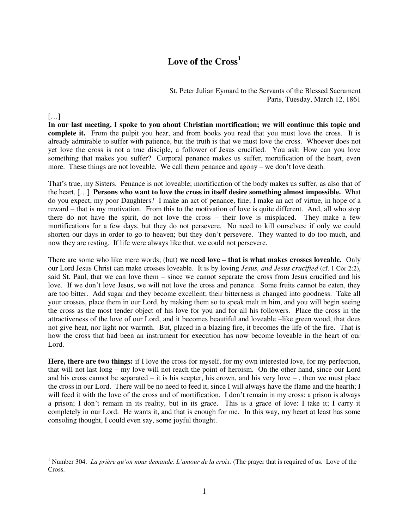## **Love of the Cross<sup>1</sup>**

St. Peter Julian Eymard to the Servants of the Blessed Sacrament Paris, Tuesday, March 12, 1861

## $\lceil \dots \rceil$

 $\overline{a}$ 

**In our last meeting, I spoke to you about Christian mortification; we will continue this topic and complete it.** From the pulpit you hear, and from books you read that you must love the cross. It is already admirable to suffer with patience, but the truth is that we must love the cross. Whoever does not yet love the cross is not a true disciple, a follower of Jesus crucified. You ask: How can you love something that makes you suffer? Corporal penance makes us suffer, mortification of the heart, even more. These things are not loveable. We call them penance and agony – we don't love death.

That's true, my Sisters. Penance is not loveable; mortification of the body makes us suffer, as also that of the heart. […] **Persons who want to love the cross in itself desire something almost impossible.** What do you expect, my poor Daughters? I make an act of penance, fine; I make an act of virtue, in hope of a reward – that is my motivation. From this to the motivation of love is quite different. And, all who stop there do not have the spirit, do not love the cross – their love is misplaced. They make a few mortifications for a few days, but they do not persevere. No need to kill ourselves: if only we could shorten our days in order to go to heaven; but they don't persevere. They wanted to do too much, and now they are resting. If life were always like that, we could not persevere.

There are some who like mere words; (but) **we need love – that is what makes crosses loveable.** Only our Lord Jesus Christ can make crosses loveable. It is by loving *Jesus, and Jesus crucified* (cf. 1 Cor 2:2), said St. Paul, that we can love them – since we cannot separate the cross from Jesus crucified and his love. If we don't love Jesus, we will not love the cross and penance. Some fruits cannot be eaten, they are too bitter. Add sugar and they become excellent; their bitterness is changed into goodness. Take all your crosses, place them in our Lord, by making them so to speak melt in him, and you will begin seeing the cross as the most tender object of his love for you and for all his followers. Place the cross in the attractiveness of the love of our Lord, and it becomes beautiful and loveable –like green wood, that does not give heat, nor light nor warmth. But, placed in a blazing fire, it becomes the life of the fire. That is how the cross that had been an instrument for execution has now become loveable in the heart of our Lord.

**Here, there are two things:** if I love the cross for myself, for my own interested love, for my perfection, that will not last long – my love will not reach the point of heroism. On the other hand, since our Lord and his cross cannot be separated – it is his scepter, his crown, and his very love –, then we must place the cross in our Lord. There will be no need to feed it, since I will always have the flame and the hearth; I will feed it with the love of the cross and of mortification. I don't remain in my cross: a prison is always a prison; I don't remain in its reality, but in its grace. This is a grace of love: I take it; I carry it completely in our Lord. He wants it, and that is enough for me. In this way, my heart at least has some consoling thought, I could even say, some joyful thought.

<sup>&</sup>lt;sup>1</sup> Number 304. *La prière qu'on nous demande. L'amour de la croix.* (The prayer that is required of us. Love of the Cross.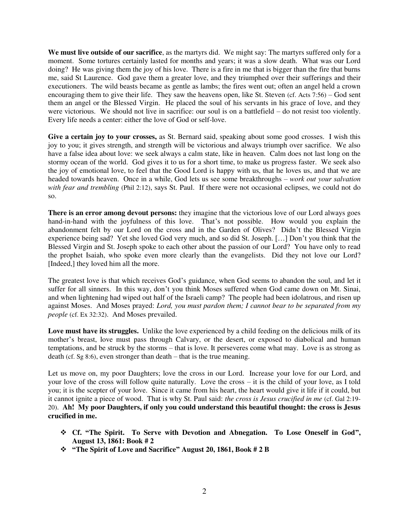**We must live outside of our sacrifice**, as the martyrs did. We might say: The martyrs suffered only for a moment. Some tortures certainly lasted for months and years; it was a slow death. What was our Lord doing? He was giving them the joy of his love. There is a fire in me that is bigger than the fire that burns me, said St Laurence. God gave them a greater love, and they triumphed over their sufferings and their executioners. The wild beasts became as gentle as lambs; the fires went out; often an angel held a crown encouraging them to give their life. They saw the heavens open, like St. Steven (cf. Acts 7:56) – God sent them an angel or the Blessed Virgin. He placed the soul of his servants in his grace of love, and they were victorious. We should not live in sacrifice: our soul is on a battlefield – do not resist too violently. Every life needs a center: either the love of God or self-love.

**Give a certain joy to your crosses,** as St. Bernard said, speaking about some good crosses. I wish this joy to you; it gives strength, and strength will be victorious and always triumph over sacrifice. We also have a false idea about love: we seek always a calm state, like in heaven. Calm does not last long on the stormy ocean of the world. God gives it to us for a short time, to make us progress faster. We seek also the joy of emotional love, to feel that the Good Lord is happy with us, that he loves us, and that we are headed towards heaven. Once in a while, God lets us see some breakthroughs – *work out your salvation*  with fear and trembling (Phil 2:12), says St. Paul. If there were not occasional eclipses, we could not do so.

**There is an error among devout persons:** they imagine that the victorious love of our Lord always goes hand-in-hand with the joyfulness of this love. That's not possible. How would you explain the abandonment felt by our Lord on the cross and in the Garden of Olives? Didn't the Blessed Virgin experience being sad? Yet she loved God very much, and so did St. Joseph. […] Don't you think that the Blessed Virgin and St. Joseph spoke to each other about the passion of our Lord? You have only to read the prophet Isaiah, who spoke even more clearly than the evangelists. Did they not love our Lord? [Indeed,] they loved him all the more.

The greatest love is that which receives God's guidance, when God seems to abandon the soul, and let it suffer for all sinners. In this way, don't you think Moses suffered when God came down on Mt. Sinai, and when lightening had wiped out half of the Israeli camp? The people had been idolatrous, and risen up against Moses. And Moses prayed: *Lord, you must pardon them; I cannot bear to be separated from my people* (cf. Ex 32:32). And Moses prevailed.

**Love must have its struggles.** Unlike the love experienced by a child feeding on the delicious milk of its mother's breast, love must pass through Calvary, or the desert, or exposed to diabolical and human temptations, and be struck by the storms – that is love. It perseveres come what may. Love is as strong as death (cf. Sg 8:6), even stronger than death – that is the true meaning.

Let us move on, my poor Daughters; love the cross in our Lord. Increase your love for our Lord, and your love of the cross will follow quite naturally. Love the cross – it is the child of your love, as I told you; it is the scepter of your love. Since it came from his heart, the heart would give it life if it could, but it cannot ignite a piece of wood. That is why St. Paul said: *the cross is Jesus crucified in me* (cf. Gal 2:19- 20). **Ah! My poor Daughters, if only you could understand this beautiful thought: the cross is Jesus crucified in me.** 

- **Cf. "The Spirit. To Serve with Devotion and Abnegation. To Lose Oneself in God", August 13, 1861: Book # 2**
- **"The Spirit of Love and Sacrifice" August 20, 1861, Book # 2 B**